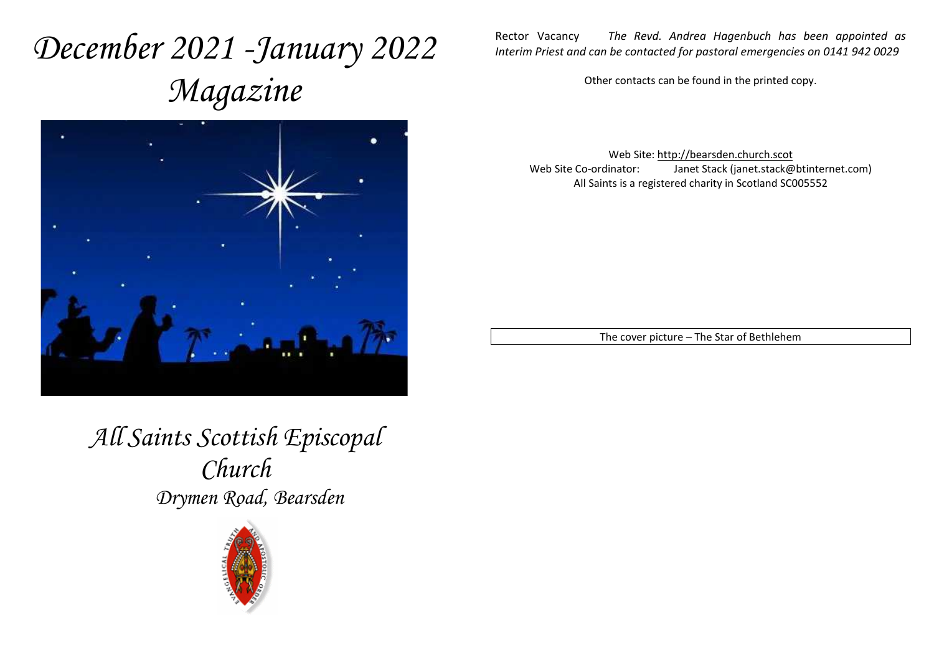# *December 2021 -January 2022 Magazine*



Rector Vacancy *The Revd. Andrea Hagenbuch has been appointed as Interim Priest and can be contacted for pastoral emergencies on 0141 942 0029* 

Other contacts can be found in the printed copy.

Web Site: http://bearsden.church.scot Web Site Co-ordinator: Janet Stack (janet.stack@btinternet.com) All Saints is a registered charity in Scotland SC005552

The cover picture – The Star of Bethlehem

*All Saints Scottish Episcopal Church Drymen Road, Bearsden* 

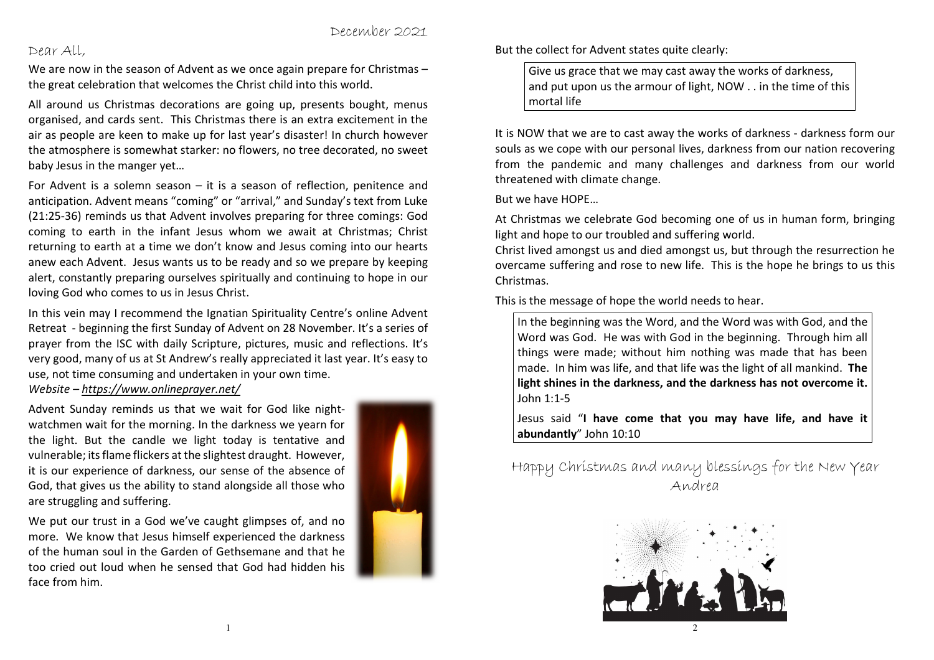December 2021

#### Dear All,

face from him.

We are now in the season of Advent as we once again prepare for Christmas – the great celebration that welcomes the Christ child into this world.

All around us Christmas decorations are going up, presents bought, menus organised, and cards sent. This Christmas there is an extra excitement in the air as people are keen to make up for last year's disaster! In church however the atmosphere is somewhat starker: no flowers, no tree decorated, no sweet baby Jesus in the manger yet…

For Advent is a solemn season – it is a season of reflection, penitence and anticipation. Advent means "coming" or "arrival," and Sunday's text from Luke (21:25-36) reminds us that Advent involves preparing for three comings: God coming to earth in the infant Jesus whom we await at Christmas; Christ returning to earth at a time we don't know and Jesus coming into our hearts anew each Advent. Jesus wants us to be ready and so we prepare by keeping alert, constantly preparing ourselves spiritually and continuing to hope in our loving God who comes to us in Jesus Christ.

In this vein may I recommend the Ignatian Spirituality Centre's online Advent Retreat - beginning the first Sunday of Advent on 28 November. It's a series of prayer from the ISC with daily Scripture, pictures, music and reflections. It's very good, many of us at St Andrew's really appreciated it last year. It's easy to use, not time consuming and undertaken in your own time. *Website – https://www.onlineprayer.net/* 

Advent Sunday reminds us that we wait for God like nightwatchmen wait for the morning. In the darkness we yearn for the light. But the candle we light today is tentative and vulnerable; its flame flickers at the slightest draught. However, it is our experience of darkness, our sense of the absence of God, that gives us the ability to stand alongside all those who are struggling and suffering.

We put our trust in a God we've caught glimpses of, and no more. We know that Jesus himself experienced the darkness of the human soul in the Garden of Gethsemane and that he too cried out loud when he sensed that God had hidden his



But the collect for Advent states quite clearly:

Give us grace that we may cast away the works of darkness, and put upon us the armour of light, NOW . . in the time of this mortal life

It is NOW that we are to cast away the works of darkness - darkness form our souls as we cope with our personal lives, darkness from our nation recovering from the pandemic and many challenges and darkness from our world threatened with climate change.

But we have HOPE…

At Christmas we celebrate God becoming one of us in human form, bringing light and hope to our troubled and suffering world.

 Christ lived amongst us and died amongst us, but through the resurrection he overcame suffering and rose to new life. This is the hope he brings to us this Christmas.

This is the message of hope the world needs to hear.

In the beginning was the Word, and the Word was with God, and the Word was God. He was with God in the beginning. Through him all things were made; without him nothing was made that has been made. In him was life, and that life was the light of all mankind. **The light shines in the darkness, and the darkness has not overcome it.** John 1:1-5

Jesus said "**I have come that you may have life, and have it abundantly**" John 10:10

Happy Christmas and many blessings for the New Year Andrea



1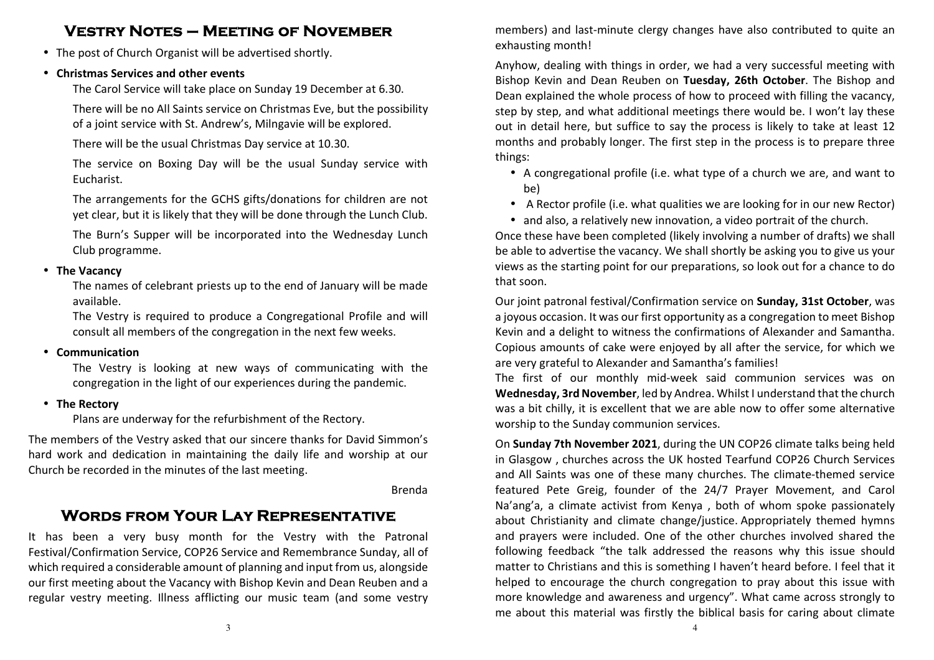## **Vestry Notes – Meeting of November**

• The post of Church Organist will be advertised shortly.

## • **Christmas Services and other events**

The Carol Service will take place on Sunday 19 December at 6.30.

There will be no All Saints service on Christmas Eve, but the possibility of a joint service with St. Andrew's, Milngavie will be explored.

There will be the usual Christmas Day service at 10.30.

The service on Boxing Day will be the usual Sunday service with Eucharist.

The arrangements for the GCHS gifts/donations for children are not yet clear, but it is likely that they will be done through the Lunch Club.

The Burn's Supper will be incorporated into the Wednesday Lunch Club programme.

## • **The Vacancy**

 The names of celebrant priests up to the end of January will be made available.

The Vestry is required to produce a Congregational Profile and will consult all members of the congregation in the next few weeks.

## • **Communication**

The Vestry is looking at new ways of communicating with the congregation in the light of our experiences during the pandemic.

• **The Rectory** 

Plans are underway for the refurbishment of the Rectory.

The members of the Vestry asked that our sincere thanks for David Simmon's hard work and dedication in maintaining the daily life and worship at our Church be recorded in the minutes of the last meeting.

Brenda

## **Words from Your Lay Representative**

It has been a very busy month for the Vestry with the Patronal Festival/Confirmation Service, COP26 Service and Remembrance Sunday, all of which required a considerable amount of planning and input from us, alongside our first meeting about the Vacancy with Bishop Kevin and Dean Reuben and a regular vestry meeting. Illness afflicting our music team (and some vestry

members) and last-minute clergy changes have also contributed to quite an exhausting month!

Anyhow, dealing with things in order, we had a very successful meeting with Bishop Kevin and Dean Reuben on **Tuesday, 26th October**. The Bishop and Dean explained the whole process of how to proceed with filling the vacancy, step by step, and what additional meetings there would be. I won't lay these out in detail here, but suffice to say the process is likely to take at least 12 months and probably longer. The first step in the process is to prepare three things:

- A congregational profile (i.e. what type of a church we are, and want to be)
- A Rector profile (i.e. what qualities we are looking for in our new Rector)
- and also, a relatively new innovation, a video portrait of the church.

Once these have been completed (likely involving a number of drafts) we shall be able to advertise the vacancy. We shall shortly be asking you to give us your views as the starting point for our preparations, so look out for a chance to do that soon.

Our joint patronal festival/Confirmation service on **Sunday, 31st October**, was a joyous occasion. It was our first opportunity as a congregation to meet Bishop Kevin and a delight to witness the confirmations of Alexander and Samantha. Copious amounts of cake were enjoyed by all after the service, for which we are very grateful to Alexander and Samantha's families!

The first of our monthly mid-week said communion services was on **Wednesday, 3rd November**, led by Andrea. Whilst I understand that the church was a bit chilly, it is excellent that we are able now to offer some alternative worship to the Sunday communion services.

On **Sunday 7th November 2021**, during the UN COP26 climate talks being held in Glasgow , churches across the UK hosted Tearfund COP26 Church Services and All Saints was one of these many churches. The climate-themed service featured Pete Greig, founder of the 24/7 Prayer Movement, and Carol Na'ang'a, a climate activist from Kenya , both of whom spoke passionately about Christianity and climate change/justice. Appropriately themed hymns and prayers were included. One of the other churches involved shared the following feedback "the talk addressed the reasons why this issue should matter to Christians and this is something I haven't heard before. I feel that it helped to encourage the church congregation to pray about this issue with more knowledge and awareness and urgency". What came across strongly to me about this material was firstly the biblical basis for caring about climate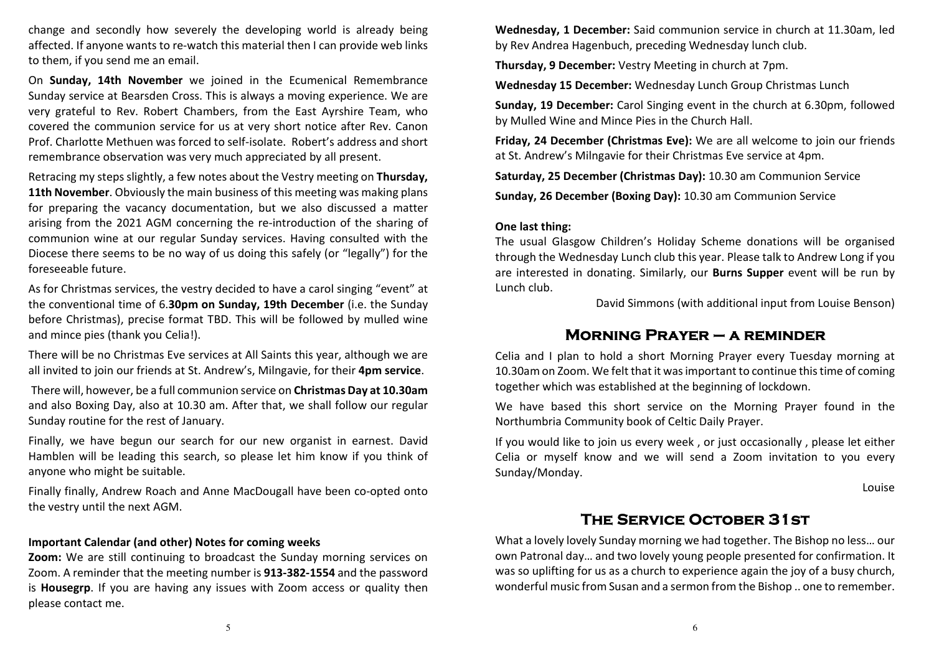change and secondly how severely the developing world is already being affected. If anyone wants to re-watch this material then I can provide web links to them, if you send me an email.

On **Sunday, 14th November** we joined in the Ecumenical Remembrance Sunday service at Bearsden Cross. This is always a moving experience. We are very grateful to Rev. Robert Chambers, from the East Ayrshire Team, who covered the communion service for us at very short notice after Rev. Canon Prof. Charlotte Methuen was forced to self-isolate. Robert's address and short remembrance observation was very much appreciated by all present.

Retracing my steps slightly, a few notes about the Vestry meeting on **Thursday, 11th November**. Obviously the main business of this meeting was making plans for preparing the vacancy documentation, but we also discussed a matter arising from the 2021 AGM concerning the re-introduction of the sharing of communion wine at our regular Sunday services. Having consulted with the Diocese there seems to be no way of us doing this safely (or "legally") for the foreseeable future.

As for Christmas services, the vestry decided to have a carol singing "event" at the conventional time of 6.**30pm on Sunday, 19th December** (i.e. the Sunday before Christmas), precise format TBD. This will be followed by mulled wine and mince pies (thank you Celia!).

There will be no Christmas Eve services at All Saints this year, although we are all invited to join our friends at St. Andrew's, Milngavie, for their **4pm service**.

 There will, however, be a full communion service on **Christmas Day at 10.30am** and also Boxing Day, also at 10.30 am. After that, we shall follow our regular Sunday routine for the rest of January.

Finally, we have begun our search for our new organist in earnest. David Hamblen will be leading this search, so please let him know if you think of anyone who might be suitable.

Finally finally, Andrew Roach and Anne MacDougall have been co-opted onto the vestry until the next AGM.

#### **Important Calendar (and other) Notes for coming weeks**

**Zoom:** We are still continuing to broadcast the Sunday morning services on Zoom. A reminder that the meeting number is **913-382-1554** and the password is **Housegrp**. If you are having any issues with Zoom access or quality then please contact me.

**Wednesday, 1 December:** Said communion service in church at 11.30am, led by Rev Andrea Hagenbuch, preceding Wednesday lunch club.

**Thursday, 9 December:** Vestry Meeting in church at 7pm.

**Wednesday 15 December:** Wednesday Lunch Group Christmas Lunch

**Sunday, 19 December:** Carol Singing event in the church at 6.30pm, followed by Mulled Wine and Mince Pies in the Church Hall.

**Friday, 24 December (Christmas Eve):** We are all welcome to join our friends at St. Andrew's Milngavie for their Christmas Eve service at 4pm.

**Saturday, 25 December (Christmas Day):** 10.30 am Communion Service

**Sunday, 26 December (Boxing Day):** 10.30 am Communion Service

#### **One last thing:**

The usual Glasgow Children's Holiday Scheme donations will be organised through the Wednesday Lunch club this year. Please talk to Andrew Long if you are interested in donating. Similarly, our **Burns Supper** event will be run by Lunch club.

David Simmons (with additional input from Louise Benson)

### **Morning Prayer – a reminder**

Celia and I plan to hold a short Morning Prayer every Tuesday morning at 10.30am on Zoom. We felt that it was important to continue this time of coming together which was established at the beginning of lockdown.

We have based this short service on the Morning Prayer found in the Northumbria Community book of Celtic Daily Prayer.

If you would like to join us every week , or just occasionally , please let either Celia or myself know and we will send a Zoom invitation to you every Sunday/Monday.

Louise

## **The Service October 31st**

What a lovely lovely Sunday morning we had together. The Bishop no less… our own Patronal day… and two lovely young people presented for confirmation. It was so uplifting for us as a church to experience again the joy of a busy church, wonderful music from Susan and a sermon from the Bishop .. one to remember.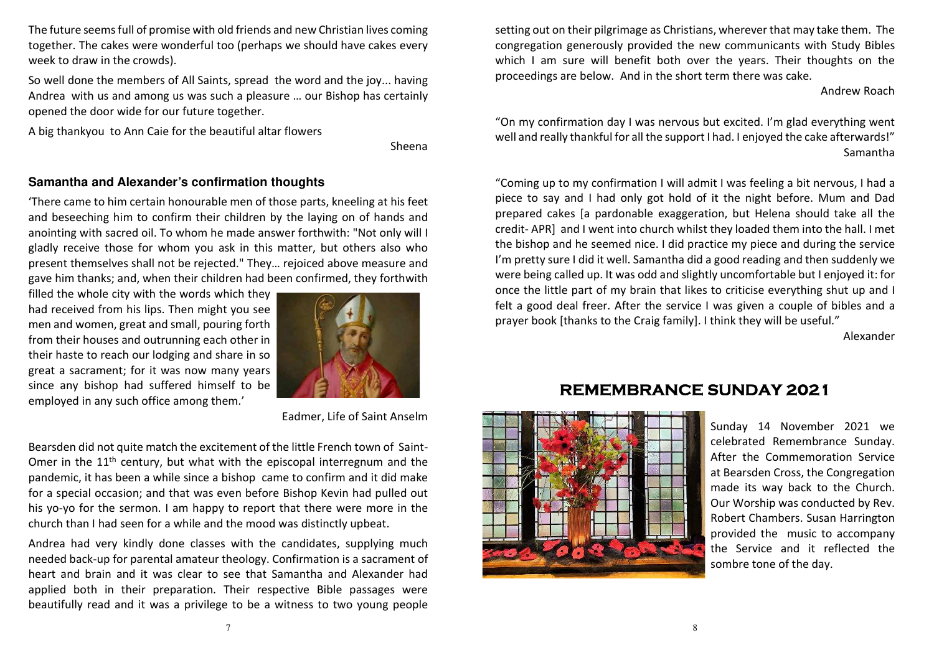The future seems full of promise with old friends and new Christian lives coming together. The cakes were wonderful too (perhaps we should have cakes every week to draw in the crowds).

So well done the members of All Saints, spread the word and the joy... having Andrea with us and among us was such a pleasure … our Bishop has certainly opened the door wide for our future together.

A big thankyou to Ann Caie for the beautiful altar flowers

Sheena

#### **Samantha and Alexander's confirmation thoughts**

'There came to him certain honourable men of those parts, kneeling at his feet and beseeching him to confirm their children by the laying on of hands and anointing with sacred oil. To whom he made answer forthwith: "Not only will I gladly receive those for whom you ask in this matter, but others also who present themselves shall not be rejected." They… rejoiced above measure and gave him thanks; and, when their children had been confirmed, they forthwith

filled the whole city with the words which they had received from his lips. Then might you see men and women, great and small, pouring forth from their houses and outrunning each other in their haste to reach our lodging and share in so great a sacrament; for it was now many years since any bishop had suffered himself to be employed in any such office among them.'



Eadmer, Life of Saint Anselm

Bearsden did not quite match the excitement of the little French town of Saint-Omer in the  $11<sup>th</sup>$  century, but what with the episcopal interregnum and the pandemic, it has been a while since a bishop came to confirm and it did make for a special occasion; and that was even before Bishop Kevin had pulled out his yo-yo for the sermon. I am happy to report that there were more in the church than I had seen for a while and the mood was distinctly upbeat.

Andrea had very kindly done classes with the candidates, supplying much needed back-up for parental amateur theology. Confirmation is a sacrament of heart and brain and it was clear to see that Samantha and Alexander had applied both in their preparation. Their respective Bible passages were beautifully read and it was a privilege to be a witness to two young people

setting out on their pilgrimage as Christians, wherever that may take them. The congregation generously provided the new communicants with Study Bibles which I am sure will benefit both over the years. Their thoughts on the proceedings are below. And in the short term there was cake.

Andrew Roach

"On my confirmation day I was nervous but excited. I'm glad everything went well and really thankful for all the support I had. I enjoyed the cake afterwards!" Samantha

"Coming up to my confirmation I will admit I was feeling a bit nervous, I had a piece to say and I had only got hold of it the night before. Mum and Dad prepared cakes [a pardonable exaggeration, but Helena should take all the credit- APR] and I went into church whilst they loaded them into the hall. I met the bishop and he seemed nice. I did practice my piece and during the service I'm pretty sure I did it well. Samantha did a good reading and then suddenly we were being called up. It was odd and slightly uncomfortable but I enjoyed it: for once the little part of my brain that likes to criticise everything shut up and I felt a good deal freer. After the service I was given a couple of bibles and a prayer book [thanks to the Craig family]. I think they will be useful."

Alexander

## **REMEMBRANCE SUNDAY 2021**



Sunday 14 November 2021 we celebrated Remembrance Sunday. After the Commemoration Service at Bearsden Cross, the Congregation made its way back to the Church. Our Worship was conducted by Rev. Robert Chambers. Susan Harrington provided the music to accompany the Service and it reflected the sombre tone of the day.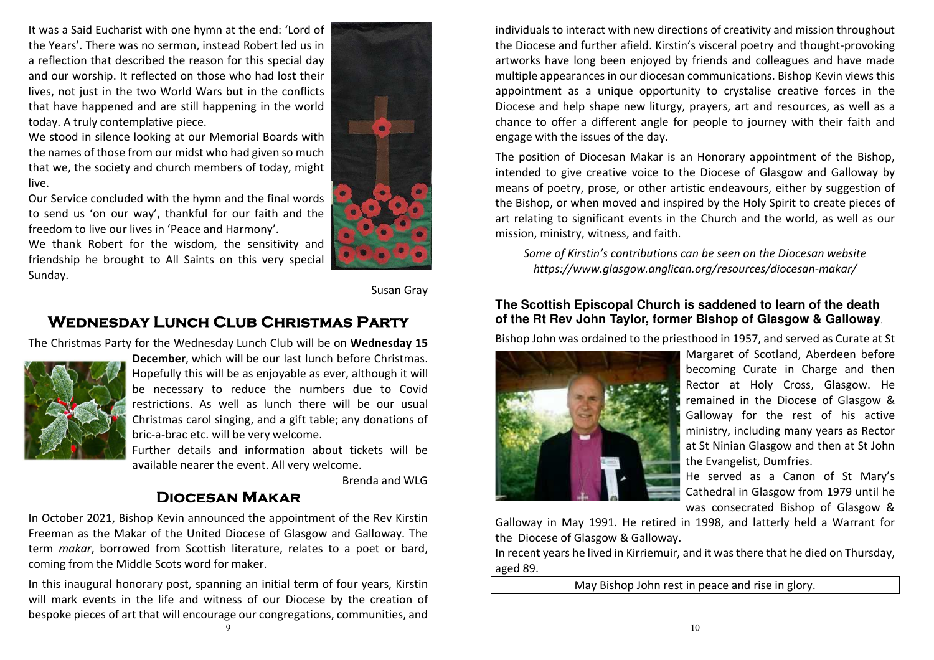It was a Said Eucharist with one hymn at the end: 'Lord of the Years'. There was no sermon, instead Robert led us in a reflection that described the reason for this special day and our worship. It reflected on those who had lost their lives, not just in the two World Wars but in the conflicts that have happened and are still happening in the world today. A truly contemplative piece.

We stood in silence looking at our Memorial Boards with the names of those from our midst who had given so much that we, the society and church members of today, might live.

Our Service concluded with the hymn and the final words to send us 'on our way', thankful for our faith and the freedom to live our lives in 'Peace and Harmony'.

We thank Robert for the wisdom, the sensitivity and friendship he brought to All Saints on this very special Sunday.



Susan Gray

## **Wednesday Lunch Club Christmas Party**

The Christmas Party for the Wednesday Lunch Club will be on **Wednesday 15** 



**December**, which will be our last lunch before Christmas. Hopefully this will be as enjoyable as ever, although it will be necessary to reduce the numbers due to Covid restrictions. As well as lunch there will be our usual Christmas carol singing, and a gift table; any donations of bric-a-brac etc. will be very welcome.

Further details and information about tickets will be available nearer the event. All very welcome.

Brenda and WLG

#### **Diocesan Makar**

In October 2021, Bishop Kevin announced the appointment of the Rev Kirstin Freeman as the Makar of the United Diocese of Glasgow and Galloway. The term *makar*, borrowed from Scottish literature, relates to a poet or bard, coming from the Middle Scots word for maker.

In this inaugural honorary post, spanning an initial term of four years, Kirstin will mark events in the life and witness of our Diocese by the creation of bespoke pieces of art that will encourage our congregations, communities, and

individuals to interact with new directions of creativity and mission throughout the Diocese and further afield. Kirstin's visceral poetry and thought-provoking artworks have long been enjoyed by friends and colleagues and have made multiple appearances in our diocesan communications. Bishop Kevin views this appointment as a unique opportunity to crystalise creative forces in the Diocese and help shape new liturgy, prayers, art and resources, as well as a chance to offer a different angle for people to journey with their faith and engage with the issues of the day.

The position of Diocesan Makar is an Honorary appointment of the Bishop, intended to give creative voice to the Diocese of Glasgow and Galloway by means of poetry, prose, or other artistic endeavours, either by suggestion of the Bishop, or when moved and inspired by the Holy Spirit to create pieces of art relating to significant events in the Church and the world, as well as our mission, ministry, witness, and faith.

*Some of Kirstin's contributions can be seen on the Diocesan website https://www.glasgow.anglican.org/resources/diocesan-makar/* 

#### **The Scottish Episcopal Church is saddened to learn of the death of the Rt Rev John Taylor, former Bishop of Glasgow & Galloway**.

Bishop John was ordained to the priesthood in 1957, and served as Curate at St



Margaret of Scotland, Aberdeen before becoming Curate in Charge and then Rector at Holy Cross, Glasgow. He remained in the Diocese of Glasgow & Galloway for the rest of his active ministry, including many years as Rector at St Ninian Glasgow and then at St John the Evangelist, Dumfries.

He served as a Canon of St Mary's Cathedral in Glasgow from 1979 until he was consecrated Bishop of Glasgow &

Galloway in May 1991. He retired in 1998, and latterly held a Warrant for the Diocese of Glasgow & Galloway.

In recent years he lived in Kirriemuir, and it was there that he died on Thursday, aged 89.

May Bishop John rest in peace and rise in glory.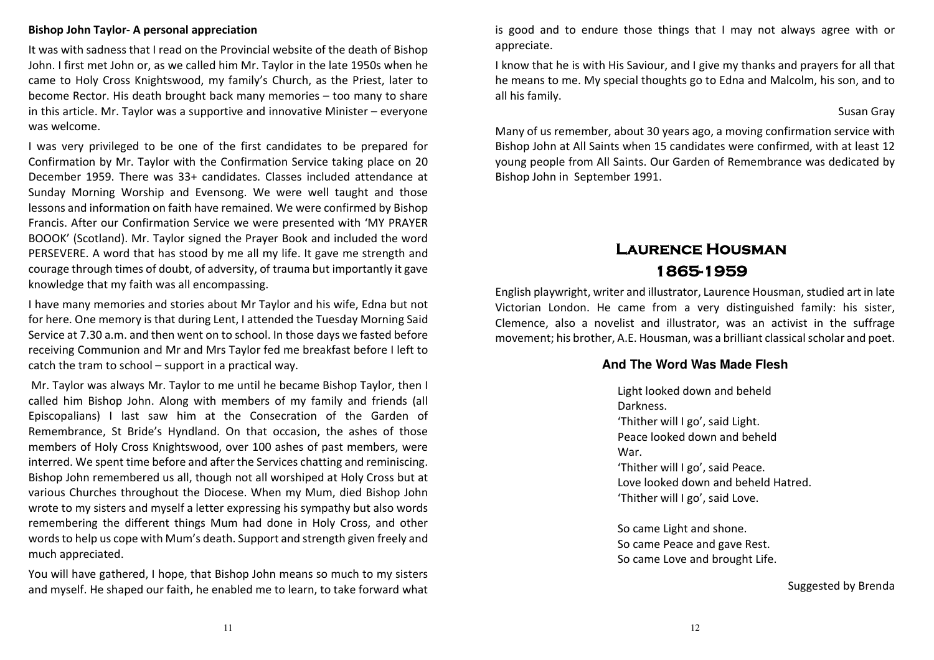#### **Bishop John Taylor- A personal appreciation**

It was with sadness that I read on the Provincial website of the death of Bishop John. I first met John or, as we called him Mr. Taylor in the late 1950s when he came to Holy Cross Knightswood, my family's Church, as the Priest, later to become Rector. His death brought back many memories – too many to share in this article. Mr. Taylor was a supportive and innovative Minister – everyone was welcome.

I was very privileged to be one of the first candidates to be prepared for Confirmation by Mr. Taylor with the Confirmation Service taking place on 20 December 1959. There was 33+ candidates. Classes included attendance at Sunday Morning Worship and Evensong. We were well taught and those lessons and information on faith have remained. We were confirmed by Bishop Francis. After our Confirmation Service we were presented with 'MY PRAYER BOOOK' (Scotland). Mr. Taylor signed the Prayer Book and included the word PERSEVERE. A word that has stood by me all my life. It gave me strength and courage through times of doubt, of adversity, of trauma but importantly it gave knowledge that my faith was all encompassing.

I have many memories and stories about Mr Taylor and his wife, Edna but not for here. One memory is that during Lent, I attended the Tuesday Morning Said Service at 7.30 a.m. and then went on to school. In those days we fasted before receiving Communion and Mr and Mrs Taylor fed me breakfast before I left to catch the tram to school – support in a practical way.

 Mr. Taylor was always Mr. Taylor to me until he became Bishop Taylor, then I called him Bishop John. Along with members of my family and friends (all Episcopalians) I last saw him at the Consecration of the Garden of Remembrance, St Bride's Hyndland. On that occasion, the ashes of those members of Holy Cross Knightswood, over 100 ashes of past members, were interred. We spent time before and after the Services chatting and reminiscing. Bishop John remembered us all, though not all worshiped at Holy Cross but at various Churches throughout the Diocese. When my Mum, died Bishop John wrote to my sisters and myself a letter expressing his sympathy but also words remembering the different things Mum had done in Holy Cross, and other words to help us cope with Mum's death. Support and strength given freely and much appreciated.

You will have gathered, I hope, that Bishop John means so much to my sisters and myself. He shaped our faith, he enabled me to learn, to take forward what is good and to endure those things that I may not always agree with or appreciate.

I know that he is with His Saviour, and I give my thanks and prayers for all that he means to me. My special thoughts go to Edna and Malcolm, his son, and to all his family.

#### Susan Gray

Many of us remember, about 30 years ago, a moving confirmation service with Bishop John at All Saints when 15 candidates were confirmed, with at least 12 young people from All Saints. Our Garden of Remembrance was dedicated by Bishop John in September 1991.

# **Laurence Housman 1865-1959**

English playwright, writer and illustrator, Laurence Housman, studied art in late Victorian London. He came from a very distinguished family: his sister, Clemence, also a novelist and illustrator, was an activist in the suffrage movement; his brother, A.E. Housman, was a brilliant classical scholar and poet.

#### **And The Word Was Made Flesh**

Light looked down and beheld Darkness. 'Thither will I go', said Light. Peace looked down and beheld War. 'Thither will I go', said Peace. Love looked down and beheld Hatred. 'Thither will I go', said Love.

So came Light and shone. So came Peace and gave Rest. So came Love and brought Life.

Suggested by Brenda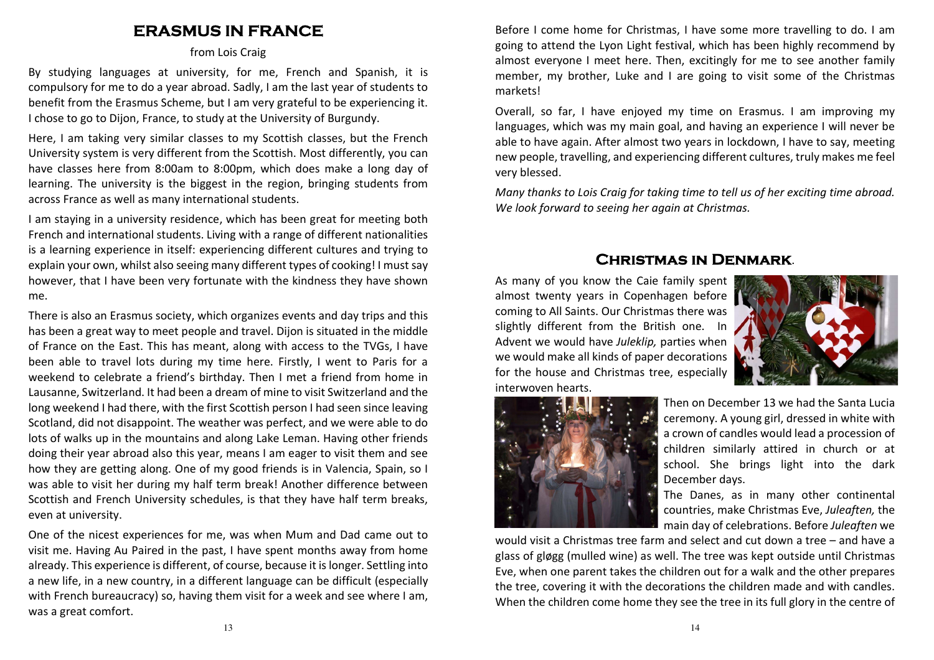## **ERASMUS IN FRANCE**

#### from Lois Craig

By studying languages at university, for me, French and Spanish, it is compulsory for me to do a year abroad. Sadly, I am the last year of students to benefit from the Erasmus Scheme, but I am very grateful to be experiencing it. I chose to go to Dijon, France, to study at the University of Burgundy.

Here, I am taking very similar classes to my Scottish classes, but the French University system is very different from the Scottish. Most differently, you can have classes here from 8:00am to 8:00pm, which does make a long day of learning. The university is the biggest in the region, bringing students from across France as well as many international students.

I am staying in a university residence, which has been great for meeting both French and international students. Living with a range of different nationalities is a learning experience in itself: experiencing different cultures and trying to explain your own, whilst also seeing many different types of cooking! I must say however, that I have been very fortunate with the kindness they have shown me.

There is also an Erasmus society, which organizes events and day trips and this has been a great way to meet people and travel. Dijon is situated in the middle of France on the East. This has meant, along with access to the TVGs, I have been able to travel lots during my time here. Firstly, I went to Paris for a weekend to celebrate a friend's birthday. Then I met a friend from home in Lausanne, Switzerland. It had been a dream of mine to visit Switzerland and the long weekend I had there, with the first Scottish person I had seen since leaving Scotland, did not disappoint. The weather was perfect, and we were able to do lots of walks up in the mountains and along Lake Leman. Having other friends doing their year abroad also this year, means I am eager to visit them and see how they are getting along. One of my good friends is in Valencia, Spain, so I was able to visit her during my half term break! Another difference between Scottish and French University schedules, is that they have half term breaks, even at university.

One of the nicest experiences for me, was when Mum and Dad came out to visit me. Having Au Paired in the past, I have spent months away from home already. This experience is different, of course, because it is longer. Settling into a new life, in a new country, in a different language can be difficult (especially with French bureaucracy) so, having them visit for a week and see where I am, was a great comfort.

Before I come home for Christmas, I have some more travelling to do. I am going to attend the Lyon Light festival, which has been highly recommend by almost everyone I meet here. Then, excitingly for me to see another family member, my brother, Luke and I are going to visit some of the Christmas markets!

Overall, so far, I have enjoyed my time on Erasmus. I am improving my languages, which was my main goal, and having an experience I will never be able to have again. After almost two years in lockdown, I have to say, meeting new people, travelling, and experiencing different cultures, truly makes me feel very blessed.

*Many thanks to Lois Craig for taking time to tell us of her exciting time abroad. We look forward to seeing her again at Christmas.* 

### **Christmas in Denmark**.

As many of you know the Caie family spent almost twenty years in Copenhagen before coming to All Saints. Our Christmas there was slightly different from the British one. In Advent we would have *Juleklip,* parties when we would make all kinds of paper decorations for the house and Christmas tree, especially interwoven hearts.





Then on December 13 we had the Santa Lucia ceremony. A young girl, dressed in white with a crown of candles would lead a procession of children similarly attired in church or at school. She brings light into the dark December days.

The Danes, as in many other continental countries, make Christmas Eve, *Juleaften,* the main day of celebrations. Before *Juleaften* we

would visit a Christmas tree farm and select and cut down a tree – and have a glass of gløgg (mulled wine) as well. The tree was kept outside until Christmas Eve, when one parent takes the children out for a walk and the other prepares the tree, covering it with the decorations the children made and with candles. When the children come home they see the tree in its full glory in the centre of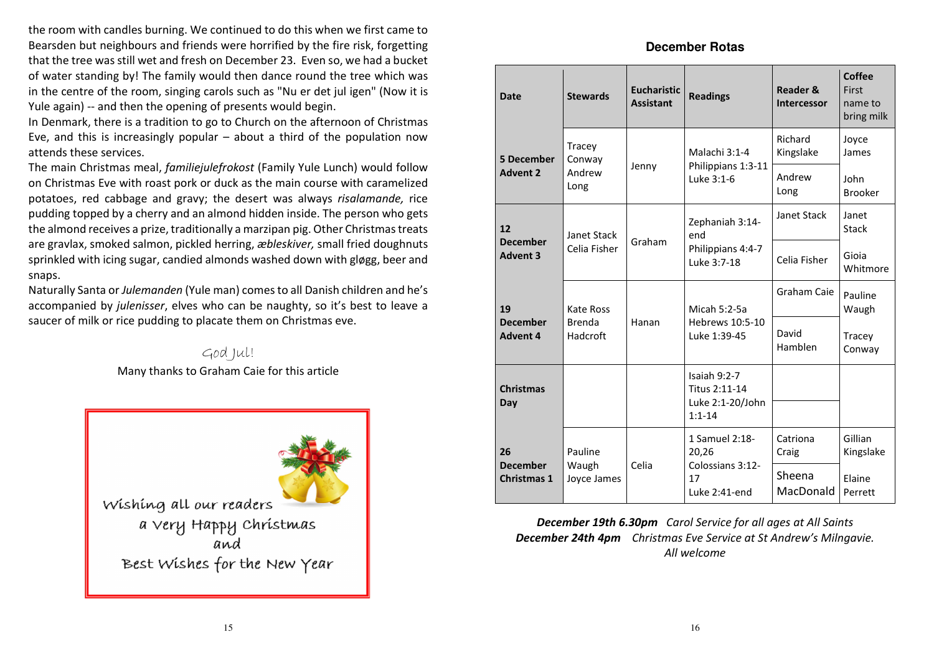the room with candles burning. We continued to do this when we first came to Bearsden but neighbours and friends were horrified by the fire risk, forgetting that the tree was still wet and fresh on December 23. Even so, we had a bucket of water standing by! The family would then dance round the tree which was in the centre of the room, singing carols such as "Nu er det jul igen" (Now it is Yule again) -- and then the opening of presents would begin.

In Denmark, there is a tradition to go to Church on the afternoon of Christmas Eve, and this is increasingly popular – about a third of the population now attends these services.

The main Christmas meal, *familiejulefrokost* (Family Yule Lunch) would follow on Christmas Eve with roast pork or duck as the main course with caramelized potatoes, red cabbage and gravy; the desert was always *risalamande,* rice pudding topped by a cherry and an almond hidden inside. The person who gets the almond receives a prize, traditionally a marzipan pig. Other Christmas treats are gravlax, smoked salmon, pickled herring, *æbleskiver,* small fried doughnuts sprinkled with icing sugar, candied almonds washed down with gløgg, beer and snaps.

Naturally Santa or *Julemanden* (Yule man) comes to all Danish children and he's accompanied by *julenisser*, elves who can be naughty, so it's best to leave asaucer of milk or rice pudding to placate them on Christmas eve.

> God Jul! Many thanks to Graham Caie for this article



#### **December Rotas**

| <b>Date</b>                           | <b>Stewards</b>           | <b>Eucharistic</b><br><b>Assistant</b> | <b>Readings</b>                                                 | <b>Reader &amp;</b><br><b>Intercessor</b> | Coffee<br>First<br>name to<br>bring milk |
|---------------------------------------|---------------------------|----------------------------------------|-----------------------------------------------------------------|-------------------------------------------|------------------------------------------|
| <b>5 December</b>                     | Tracey<br>Conway          |                                        | Malachi 3:1-4                                                   | Richard<br>Kingslake                      | Joyce<br>James                           |
| <b>Advent 2</b>                       | Andrew<br>Long            | Jenny                                  | Philippians 1:3-11<br>Luke 3:1-6                                | Andrew<br>Long                            | John<br><b>Brooker</b>                   |
| 12                                    | Janet Stack               |                                        | Zephaniah 3:14-<br>end                                          | Janet Stack                               | Janet<br><b>Stack</b>                    |
| <b>December</b><br><b>Advent 3</b>    | Celia Fisher              | Graham                                 | Philippians 4:4-7<br>Luke 3:7-18                                | Celia Fisher                              | Gioia<br>Whitmore                        |
| 19                                    | Kate Ross                 |                                        | Micah 5:2-5a                                                    | Graham Caie                               | Pauline<br>Waugh                         |
| <b>December</b><br><b>Advent 4</b>    | <b>Brenda</b><br>Hadcroft | Hanan                                  | Hebrews 10:5-10<br>Luke 1:39-45                                 | David<br>Hamblen                          | Tracey<br>Conway                         |
| <b>Christmas</b><br>Day               |                           |                                        | Isaiah 9:2-7<br>Titus 2:11-14<br>Luke 2:1-20/John<br>$1:1 - 14$ |                                           |                                          |
| 26                                    | Pauline                   |                                        | 1 Samuel 2:18-<br>20,26                                         | Catriona<br>Craig                         | Gillian<br>Kingslake                     |
| <b>December</b><br><b>Christmas 1</b> | Waugh<br>Joyce James      | Celia                                  | Colossians 3:12-<br>17<br>Luke 2:41-end                         | Sheena<br>MacDonald                       | Elaine<br>Perrett                        |

*December 19th 6.30pm Carol Service for all ages at All Saints December 24th 4pm Christmas Eve Service at St Andrew's Milngavie. All welcome*